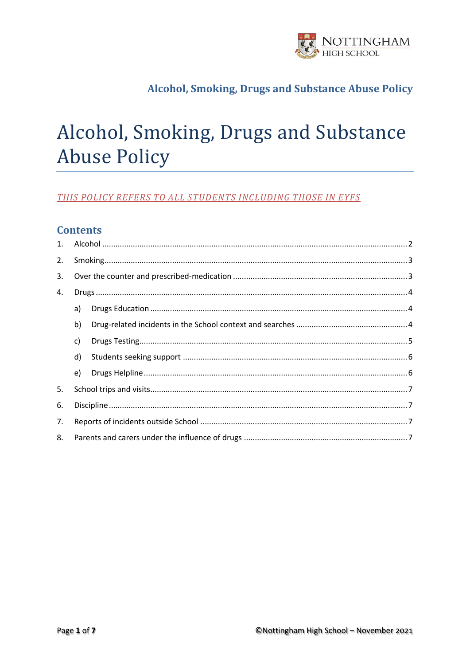

# Alcohol, Smoking, Drugs and Substance **Abuse Policy**

### THIS POLICY REFERS TO ALL STUDENTS INCLUDING THOSE IN EYFS

### **Contents**

| 1. |    |  |  |
|----|----|--|--|
| 2. |    |  |  |
| 3. |    |  |  |
| 4. |    |  |  |
|    | a) |  |  |
|    | b) |  |  |
|    | c) |  |  |
|    | d) |  |  |
|    | e) |  |  |
| 5. |    |  |  |
| 6. |    |  |  |
| 7. |    |  |  |
| 8. |    |  |  |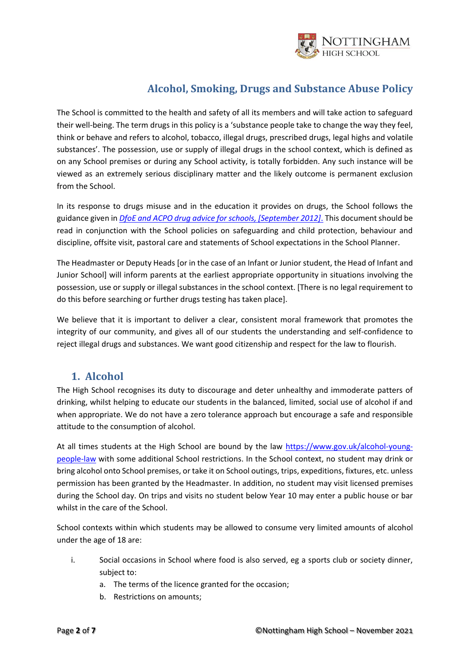

The School is committed to the health and safety of all its members and will take action to safeguard their well-being. The term drugs in this policy is a 'substance people take to change the way they feel, think or behave and refers to alcohol, tobacco, illegal drugs, prescribed drugs, legal highs and volatile substances'. The possession, use or supply of illegal drugs in the school context, which is defined as on any School premises or during any School activity, is totally forbidden. Any such instance will be viewed as an extremely serious disciplinary matter and the likely outcome is permanent exclusion from the School.

In its response to drugs misuse and in the education it provides on drugs, the School follows the guidance given in *[DfoE and ACPO drug advice for schools, \[September 2012\]](https://www.gov.uk/government/publications/drugs-advice-for-schools)*. This document should be read in conjunction with the School policies on safeguarding and child protection, behaviour and discipline, offsite visit, pastoral care and statements of School expectations in the School Planner.

The Headmaster or Deputy Heads [or in the case of an Infant or Junior student, the Head of Infant and Junior School] will inform parents at the earliest appropriate opportunity in situations involving the possession, use or supply or illegal substances in the school context. [There is no legal requirement to do this before searching or further drugs testing has taken place].

We believe that it is important to deliver a clear, consistent moral framework that promotes the integrity of our community, and gives all of our students the understanding and self-confidence to reject illegal drugs and substances. We want good citizenship and respect for the law to flourish.

### <span id="page-1-0"></span>**1. Alcohol**

The High School recognises its duty to discourage and deter unhealthy and immoderate patters of drinking, whilst helping to educate our students in the balanced, limited, social use of alcohol if and when appropriate. We do not have a zero tolerance approach but encourage a safe and responsible attitude to the consumption of alcohol.

At all times students at the High School are bound by the law [https://www.gov.uk/alcohol-young](https://www.gov.uk/alcohol-young-people-law)[people-law](https://www.gov.uk/alcohol-young-people-law) with some additional School restrictions. In the School context, no student may drink or bring alcohol onto School premises, or take it on School outings, trips, expeditions, fixtures, etc. unless permission has been granted by the Headmaster. In addition, no student may visit licensed premises during the School day. On trips and visits no student below Year 10 may enter a public house or bar whilst in the care of the School.

School contexts within which students may be allowed to consume very limited amounts of alcohol under the age of 18 are:

- i. Social occasions in School where food is also served, eg a sports club or society dinner, subject to:
	- a. The terms of the licence granted for the occasion;
	- b. Restrictions on amounts;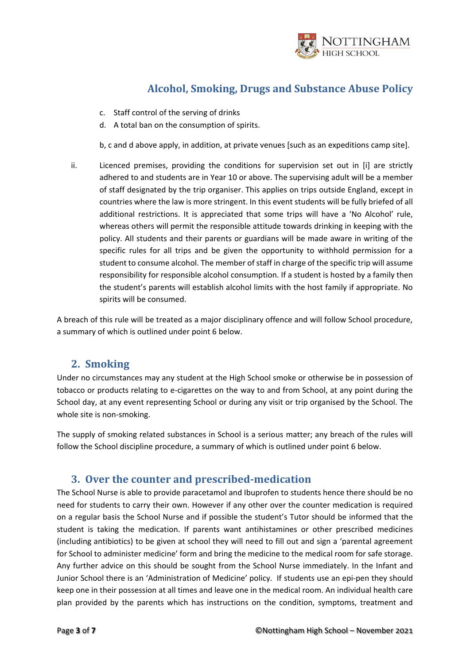

- c. Staff control of the serving of drinks
- d. A total ban on the consumption of spirits.

b, c and d above apply, in addition, at private venues [such as an expeditions camp site].

ii. Licenced premises, providing the conditions for supervision set out in [i] are strictly adhered to and students are in Year 10 or above. The supervising adult will be a member of staff designated by the trip organiser. This applies on trips outside England, except in countries where the law is more stringent. In this event students will be fully briefed of all additional restrictions. It is appreciated that some trips will have a 'No Alcohol' rule, whereas others will permit the responsible attitude towards drinking in keeping with the policy. All students and their parents or guardians will be made aware in writing of the specific rules for all trips and be given the opportunity to withhold permission for a student to consume alcohol. The member of staff in charge of the specific trip will assume responsibility for responsible alcohol consumption. If a student is hosted by a family then the student's parents will establish alcohol limits with the host family if appropriate. No spirits will be consumed.

A breach of this rule will be treated as a major disciplinary offence and will follow School procedure, a summary of which is outlined under point 6 below.

### <span id="page-2-0"></span>**2. Smoking**

Under no circumstances may any student at the High School smoke or otherwise be in possession of tobacco or products relating to e-cigarettes on the way to and from School, at any point during the School day, at any event representing School or during any visit or trip organised by the School. The whole site is non-smoking.

The supply of smoking related substances in School is a serious matter; any breach of the rules will follow the School discipline procedure, a summary of which is outlined under point 6 below.

### <span id="page-2-1"></span>**3. Over the counter and prescribed-medication**

The School Nurse is able to provide paracetamol and Ibuprofen to students hence there should be no need for students to carry their own. However if any other over the counter medication is required on a regular basis the School Nurse and if possible the student's Tutor should be informed that the student is taking the medication. If parents want antihistamines or other prescribed medicines (including antibiotics) to be given at school they will need to fill out and sign a 'parental agreement for School to administer medicine' form and bring the medicine to the medical room for safe storage. Any further advice on this should be sought from the School Nurse immediately. In the Infant and Junior School there is an 'Administration of Medicine' policy. If students use an epi-pen they should keep one in their possession at all times and leave one in the medical room. An individual health care plan provided by the parents which has instructions on the condition, symptoms, treatment and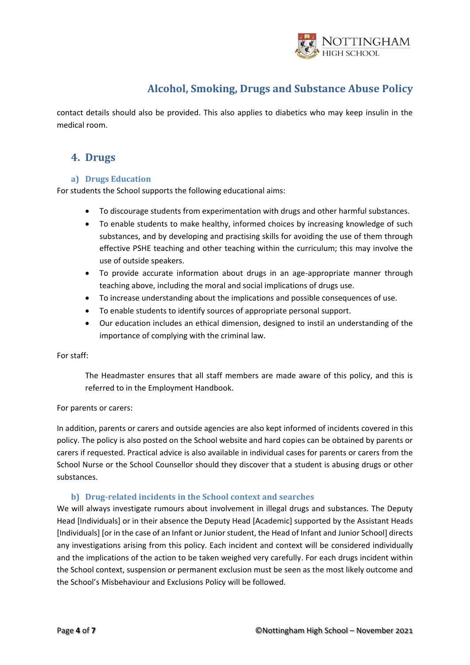

contact details should also be provided. This also applies to diabetics who may keep insulin in the medical room.

### <span id="page-3-0"></span>**4. Drugs**

#### <span id="page-3-1"></span>**a) Drugs Education**

For students the School supports the following educational aims:

- To discourage students from experimentation with drugs and other harmful substances.
- To enable students to make healthy, informed choices by increasing knowledge of such substances, and by developing and practising skills for avoiding the use of them through effective PSHE teaching and other teaching within the curriculum; this may involve the use of outside speakers.
- To provide accurate information about drugs in an age-appropriate manner through teaching above, including the moral and social implications of drugs use.
- To increase understanding about the implications and possible consequences of use.
- To enable students to identify sources of appropriate personal support.
- Our education includes an ethical dimension, designed to instil an understanding of the importance of complying with the criminal law.

#### For staff:

The Headmaster ensures that all staff members are made aware of this policy, and this is referred to in the Employment Handbook.

#### For parents or carers:

In addition, parents or carers and outside agencies are also kept informed of incidents covered in this policy. The policy is also posted on the School website and hard copies can be obtained by parents or carers if requested. Practical advice is also available in individual cases for parents or carers from the School Nurse or the School Counsellor should they discover that a student is abusing drugs or other substances.

#### **b) Drug-related incidents in the School context and searches**

<span id="page-3-2"></span>We will always investigate rumours about involvement in illegal drugs and substances. The Deputy Head [Individuals] or in their absence the Deputy Head [Academic] supported by the Assistant Heads [Individuals] [or in the case of an Infant or Junior student, the Head of Infant and Junior School] directs any investigations arising from this policy. Each incident and context will be considered individually and the implications of the action to be taken weighed very carefully. For each drugs incident within the School context, suspension or permanent exclusion must be seen as the most likely outcome and the School's Misbehaviour and Exclusions Policy will be followed.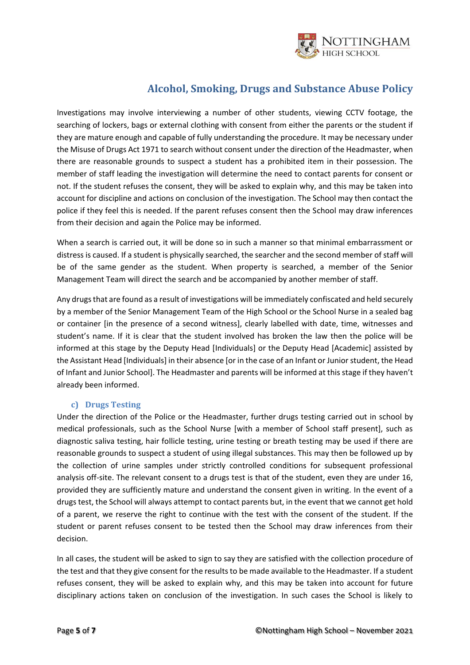

Investigations may involve interviewing a number of other students, viewing CCTV footage, the searching of lockers, bags or external clothing with consent from either the parents or the student if they are mature enough and capable of fully understanding the procedure. It may be necessary under the Misuse of Drugs Act 1971 to search without consent under the direction of the Headmaster, when there are reasonable grounds to suspect a student has a prohibited item in their possession. The member of staff leading the investigation will determine the need to contact parents for consent or not. If the student refuses the consent, they will be asked to explain why, and this may be taken into account for discipline and actions on conclusion of the investigation. The School may then contact the police if they feel this is needed. If the parent refuses consent then the School may draw inferences from their decision and again the Police may be informed.

When a search is carried out, it will be done so in such a manner so that minimal embarrassment or distress is caused. If a student is physically searched, the searcher and the second member of staff will be of the same gender as the student. When property is searched, a member of the Senior Management Team will direct the search and be accompanied by another member of staff.

Any drugs that are found as a result of investigations will be immediately confiscated and held securely by a member of the Senior Management Team of the High School or the School Nurse in a sealed bag or container [in the presence of a second witness], clearly labelled with date, time, witnesses and student's name. If it is clear that the student involved has broken the law then the police will be informed at this stage by the Deputy Head [Individuals] or the Deputy Head [Academic] assisted by the Assistant Head [Individuals] in their absence [or in the case of an Infant or Junior student, the Head of Infant and Junior School]. The Headmaster and parents will be informed at this stage if they haven't already been informed.

#### **c) Drugs Testing**

<span id="page-4-0"></span>Under the direction of the Police or the Headmaster, further drugs testing carried out in school by medical professionals, such as the School Nurse [with a member of School staff present], such as diagnostic saliva testing, hair follicle testing, urine testing or breath testing may be used if there are reasonable grounds to suspect a student of using illegal substances. This may then be followed up by the collection of urine samples under strictly controlled conditions for subsequent professional analysis off-site. The relevant consent to a drugs test is that of the student, even they are under 16, provided they are sufficiently mature and understand the consent given in writing. In the event of a drugs test, the School will always attempt to contact parents but, in the event that we cannot get hold of a parent, we reserve the right to continue with the test with the consent of the student. If the student or parent refuses consent to be tested then the School may draw inferences from their decision.

In all cases, the student will be asked to sign to say they are satisfied with the collection procedure of the test and that they give consent for the results to be made available to the Headmaster. If a student refuses consent, they will be asked to explain why, and this may be taken into account for future disciplinary actions taken on conclusion of the investigation. In such cases the School is likely to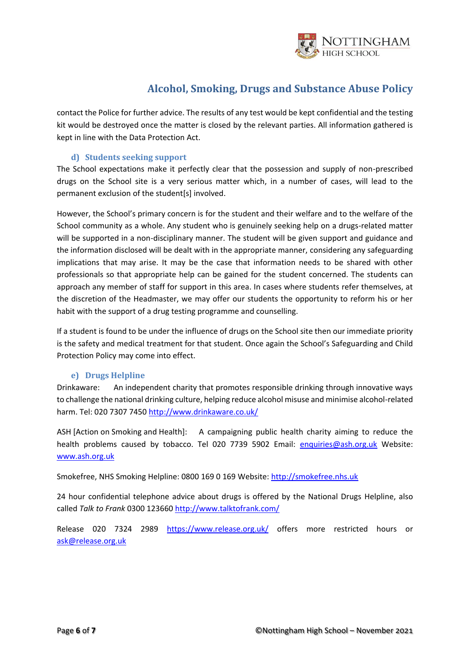

contact the Police for further advice. The results of any test would be kept confidential and the testing kit would be destroyed once the matter is closed by the relevant parties. All information gathered is kept in line with the Data Protection Act.

#### **d) Students seeking support**

<span id="page-5-0"></span>The School expectations make it perfectly clear that the possession and supply of non-prescribed drugs on the School site is a very serious matter which, in a number of cases, will lead to the permanent exclusion of the student[s] involved.

However, the School's primary concern is for the student and their welfare and to the welfare of the School community as a whole. Any student who is genuinely seeking help on a drugs-related matter will be supported in a non-disciplinary manner. The student will be given support and guidance and the information disclosed will be dealt with in the appropriate manner, considering any safeguarding implications that may arise. It may be the case that information needs to be shared with other professionals so that appropriate help can be gained for the student concerned. The students can approach any member of staff for support in this area. In cases where students refer themselves, at the discretion of the Headmaster, we may offer our students the opportunity to reform his or her habit with the support of a drug testing programme and counselling.

If a student is found to be under the influence of drugs on the School site then our immediate priority is the safety and medical treatment for that student. Once again the School's Safeguarding and Child Protection Policy may come into effect.

#### **e) Drugs Helpline**

<span id="page-5-1"></span>Drinkaware: An independent charity that promotes responsible drinking through innovative ways to challenge the national drinking culture, helping reduce alcohol misuse and minimise alcohol-related harm. Tel: 020 7307 7450<http://www.drinkaware.co.uk/>

ASH [Action on Smoking and Health]: A campaigning public health charity aiming to reduce the health problems caused by tobacco. Tel 020 7739 5902 Email: [enquiries@ash.org.uk](mailto:enquiries@ash.org.uk) Website: [www.ash.org.uk](http://www.ash.org.uk/)

Smokefree, NHS Smoking Helpline: 0800 169 0 169 Website[: http://smokefree.nhs.uk](http://smokefree.nhs.uk/)

24 hour confidential telephone advice about drugs is offered by the National Drugs Helpline, also called *Talk to Frank* 0300 123660<http://www.talktofrank.com/>

Release 020 7324 2989 <https://www.release.org.uk/> offers more restricted hours or [ask@release.org.uk](mailto:ask@release.org.uk)